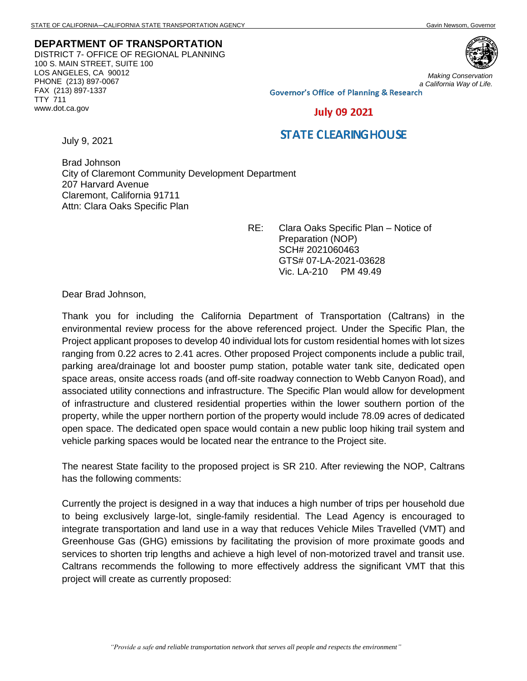## **DEPARTMENT OF TRANSPORTATION** DISTRICT 7- OFFICE OF REGIONAL PLANNING 100 S. MAIN STREET, SUITE 100 LOS ANGELES, CA 90012 PHONE (213) 897-0067 FAX (213) 897-1337 TTY 711 www.dot.ca.gov



*Making Conservation a California Way of Life.*

**Governor's Office of Planning & Research** 

## **July 09 2021**

## **STATE CLEARING HOUSE**

July 9, 2021

Brad Johnson City of Claremont Community Development Department 207 Harvard Avenue Claremont, California 91711 Attn: Clara Oaks Specific Plan

> RE: Clara Oaks Specific Plan – Notice of Preparation (NOP) SCH# 2021060463 GTS# 07-LA-2021-03628 Vic. LA-210 PM 49.49

Dear Brad Johnson,

Thank you for including the California Department of Transportation (Caltrans) in the environmental review process for the above referenced project. Under the Specific Plan, the Project applicant proposes to develop 40 individual lots for custom residential homes with lot sizes ranging from 0.22 acres to 2.41 acres. Other proposed Project components include a public trail, parking area/drainage lot and booster pump station, potable water tank site, dedicated open space areas, onsite access roads (and off-site roadway connection to Webb Canyon Road), and associated utility connections and infrastructure. The Specific Plan would allow for development of infrastructure and clustered residential properties within the lower southern portion of the property, while the upper northern portion of the property would include 78.09 acres of dedicated open space. The dedicated open space would contain a new public loop hiking trail system and vehicle parking spaces would be located near the entrance to the Project site.

The nearest State facility to the proposed project is SR 210. After reviewing the NOP, Caltrans has the following comments:

Currently the project is designed in a way that induces a high number of trips per household due to being exclusively large-lot, single-family residential. The Lead Agency is encouraged to integrate transportation and land use in a way that reduces Vehicle Miles Travelled (VMT) and Greenhouse Gas (GHG) emissions by facilitating the provision of more proximate goods and services to shorten trip lengths and achieve a high level of non-motorized travel and transit use. Caltrans recommends the following to more effectively address the significant VMT that this project will create as currently proposed: